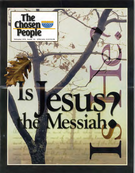

### **LS** ESUS7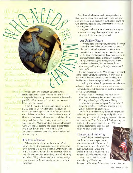We build our lives with such care. Hard work, rewarding interests, careers, families and friends—all these good things add up to what we dream about—the good life; a life to be savored, cherished and protected, for it is precious indeed.

But in the midst of it all, just loud enough to intrude, is what the poet W. H. Auden called "the sound of distant thunder at a picnic." As life unfolds, that sound can only become louder and closer. It takes the form of illness and death—and whatever our own follies add to the grim challenges that certainly await us all at some time or another. Make no mistake, our carefully ordered world will one day descend into chaos. It is inevitable. And it is at that moment—the moment of our undoing—when we discover what we are made of and who we truly are.

#### The Fear of Failure

Who are the pariahs of this shiny world? We all know—they are the failures and losers from whom we avert our eyes. Our culture of success abhors failure in all forms. The cult of strength that we have created has no room for weakness. We instinctively know who is rising and who is falling and we make it our business to align ourselves with the former and distance ourselves from the others.

Even those who become weak through no fault of their own, the ill and the unfortunate, create feelings of guilt and shame in us, because in our heart of hearts, we wish they would just go away. We smell their loneliness and it frightens us.

It frightens us because we know that someday we may wear their anguished expression and see in others the loathing we ourselves feel.

#### An Unlikely Figure

According to contemporary standards, the Jewish Messiah is an unlikely source of comfort, for one of the most profound aspects of His nature is the prominent role that suffering and humiliation play in His story. The things we all dread most seem to be the very things He goes out of his way to embrace. *But He was wounded for our transgressions, He was bruised for our iniquities; The chastisement for our peace was upon Him, And by His stripes we are healed*  (Isaiah 53:5).

The public execution of the Messiah, as it is portrayed in the Hebrew Scriptures, is shameful in every sense of the word. It depicts a powerless, humiliated figure we find far more disconcerting than we'd care to admit.

If anything, the Hebrew Scriptures seem to affirm our collective discomfort at this embarrassing spectacle. They capture not only his suffering, but the uneasiness of those who witness it—

*He has no form or comeliness; And when we see Him, There is no beauty that we should desire Him. He is despised and rejected by men, a Man of sorrows and acquainted with grief And we hid, as it were, our faces from Him; He was despised, and we did not esteem Him* (Isaiah 53:2-3).

Yet, far from shrinking away from such images, the Hebrew Scriptures display them proudly. They are, in some deep and penetrating way, a gateway to triumph and vindication. Why? Because with God, suffering need not be the defining reality of existence. With God, suffering becomes the door through

which we enter true freedom.

#### The Secret of Suffering

The suffering of the Jewish people that forms such an integral part of who we are is a vivid affirmation of the presence of evil in the world. Yet, even our suffering—unjust and wicked as its causes have been—is a reminder of God's presence to us.

How can this be? It is because the suffering of Messiah has

become our liberation. As we accept him and learn to



*The Chosen People* 

**Must unbounded**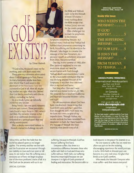## GUU  $\Lambda$ l $\mu$ l

#### by Olivier Melnick

"If God exists, He doesn't need me for anything, and I sure don't need HIM:'

These were my comments when asked about God as I grew up in Paris, France. As many European, secular Jews born after World War II and raised in the aftermath of the Holocaust, I was not interested in God at all. After all, maybe my mother was right when she claimed that God died in Auschwitz with the six million—including her father.

So, as a result, I grew up culturally Jewish but very secular.

Being French, I am two parts romantic and one part curious. These personality traits found a major focus in 1981, when I met Ellen. My romantic interest in her took on an additional dimension as I embarked on a spiritual quest that was wholly unanticipated.

Ellen, a deeply committed believer in Messiah, started to challenge me with

the Bible and Yeshua's claim to be the Messiah of Israel. Of course, I knew nothing about the Bible except that Yeshua (Jesus) was not for the Jewish people.

Ellen challenged me to read the prophecies in the Hebrew

Scriptures concerning Messiah. As I learned more, I realized that Yeshua had fulfilled these prophecies concerning his birth, his suffering and his identity as the Messiah. I also began to consider the message of the New Testament. As I pictured myself, an unbeliever, separated from Ellen, I became terrified.

One day, in the summer of 1983, after Ellen patiently explained to me one more time about our need for reconciliation with God through Yeshua's death and resurrection, I came to the unavoidable conclusion that He was the long awaited Messiah of the Scriptures. It was then that I received Him as my Lord and Savior.

Not long after, Ellen and I were married and moved to the U.S. in 1985. We presently live in Southern California and have two beautiful children—a boy and a girl.

My old assumptions about God have been transformed. I know today that God DOES exist and that I need Him. Even though HE DOES NOT need me, He loves me—even in spite of my imperfections. Through Yeshua, my secular outlook has been remolded from skepticism to faith, for I have found in the message of Messiah the most essential, most Jewish story of all.

follow Him, we find the hold that the world has placed upon us no longer applies. The anxiety and fear we live with and the frustration we encounter through our inability to love and trust start to fall away. As we realize that His suffering was a necessary act of love, we begin to grasp one of the most profound truths of all. It is that God can be present with us in our

suffering, because in Messiah, God has known suffering first hand.

Everyone suffers. But there is a tremendous difference between those who suffer with faith in God and those who suffer without. With faith, our suffering becomes meaningful because we can interpret it in light of God's promise of healing and restoration. We become able to

#### **SPECIAL EDITION Volume VIII, Issue 10**

**Inside this Issue:**  WHO NEEDS THE  $MESSIAH?$ .......2 IF GOD  $EXISTS$  :  $3$ THE SUFFERING  $MESSIAH$  .......4 FIT FOR LIFE . . . . 5 IS JESUS THE  $MESSLAH$ <sup>2</sup>.......6 FROM YESHIVA TO YESHUA

#### **CHOSEN PEOPLE MINISTRIES**

International Headquarters 241 East sist Street New York, NY 10022 212-223-2252

> In Canada Box 897 Station B North York, ON 1\42K 2R1 416-250-0177

Visit us on the web at: www.chosenpeople.com Our Spanish Medsite is

www.puebloelegido.com

*The Chosen TiOe* newsletter u published monthly by Chosen People MIrittrIel For more information, or to recent *The Chosen Pec'e*  newsletter, write to Chosen People Ministries. Editor Zhava Glaser Staff writer: Alan Shore, Design: Lois Gable, Art Director. Oniver Melnick,<br>Photos ©2002 Photodisc, Inc. Photos are representative only and are not<br>the people mentioned in this newsletter or affilated with Chosen PeopleMinistries.

**PRINTED IN THE USA** 

look beyond to the peace He extends to us.

No one wants to suffer. But we need not allow our pain to be the isolating, discouraging experience the world portrays it to be. With faith in Messiah pain can become, in a very real sense, the glue that binds us to God's comfort.

Who needs the Messiah? Everyone who must suffer—and that means everyone!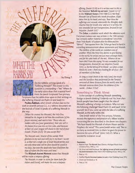by Doug P.

Do the rabbinic writings speak of a "Suffering Messiah?" The answer to this question is a resounding—"Yes!" Where do the early rabbis draw their material from? From the Jewish Scriptures! Two primary

Scriptures that the rabbis draw upon in their writings on the Suffering Messiah are Psalm 22 and Isaiah 53.

**Pesikta Rabbati,** which Jewish scholars date to the sixth or seventh century C.E., is a rabbinic document on the festivals of Israel. It speaks of a suffering Messiah in this way:

*[When He created the Messiah,] the Holy One, blessed be He, began to tell him the conditions [of his future mission], and said to him: 'Those who are hidden with you [your generation], their sins will in the future force you into an iron yoke...and because of their sin your tongue will cleave to the roof of your mouth.' [Psalm 22:25] Do you accept this?* 

*The Messiah said...'Master of the worlds! With gladness in my soul and with joy in my heart I accept it, so that not a single one of Israel should perish; and not only those who will be alive should be saved in my days, but even the dead who have died from the days of Adam the first man until now.'* 

The **Midrash Aseret Memrot** states that Messiah will be made a *trespass offering*:

*The Messiah, in order to atone for them both [for Adam and David], will make his soul a trespass* 

*offering [Isaiah 53:10] as it is written next to this in the Parashah* **'Behold my servant:** *[Isaiah 52:13] <sup>2</sup>* In the **Midrash Konen** (110-1100 C.E.) We find: *Messiah Son of David who loveth Jerusalem...Elijah takes him by his head...and says, 'Bear thou the sufferings and wounds wherewith the Almighty doth chastise thee for Israel's sins;' and so it is written, He was wounded for our transgressions, bruised for our iniquities. [Isaiah 53:5] <sup>3</sup>*

The **Zohar,** a cabalistic work which the reference work *Everyman's Judaica* says was written in the 13th century but contains earlier material, is considered "one of the three 'Holy Books' of Judaism after the Bible and the Talmud." Two quotes from the Zohar go hand in hand in a startling announcement about atonement and Messiah:

*The children of the world are members one of another. When the Holy One desires to give healing to the world, he smites one just man amongst them, and for his sake heals all the rest. Whence do we learn this? From the saying 'He was wounded for our transgressions, bruised for our iniquities, (Isaiah 53:5], i.e. by the letting of his blood—as when a man bleeds his arm—there was healing for all of us—for all members of the body.'* 

*As long as Israel dwelt in the Holy Land, the rituals and the Sacrifices they performed [in the Temple] removed all those diseases from the world; now the Messiah removes them from the children of the world.... (Zohar 2:12a)6* 

#### Something to Think About

Is the concept of a suffering Messiah something foreign to Jewish thinking? Evidently not! Yet, how often Jewish people have been taught that the idea of Messiah's suffering is foreign to Judaism. Why not take the following challenge? Read Psalm 22 and Isaiah 53 for yourself. See if you come up with the idea of a suffering Messiah, as the early rabbis did.

One Jewish writer of the first century, Yohanan, records the rapturous exclamation of a fellow Israelite concerning the one described in the above two chapters: "We have found the Messiah of whom Moses and the Prophets did write!" This same Jewish writer said, "But to as many as received Him, to them he gave the power to become the sons of God" (John 1:45,12). What a wonderful invitation to us!

#### **Footnotes:**

- 1. Raphael Patai. *The Messiah Texts* (Detroit, Michigan:Wayne State University Press,1949), p. 112.
- 2. S.R. Driver and Adolf Neubauer. *The Suffering Servant of Isaiah according to the Jewish Interpreters* (New York: KTAV Publishing House, 1969), p. 394.
- 3. Patai, p. 115.
- 4. Geoffrey Wigoder. Everyman's Judaica (Jerusalem: Keter Publishing House, 1975).
- 5. Driver and Neubauer, p. 14.
- 6. Patai, p.116.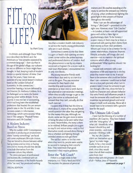# $HIT$



by Mark Surey

I'm British, and although Oscar Wilde once described the British and the Americans as "two peoples separated by a common language;' I dare say that in this age of the global village, our cultures are not so different as Oscar might have thought. In fact, keeping track of modern trends is a special interest of mine. Over the last five years, I have been an associate of a top social research institute based at the London School of Economics. In this connection, I remember hearing a lecture delivered by our Director, Dr. Anthony Giddens. In it, he challenged us to name the fastest growing career within Britain. To my surprise, it was not law or accounting, which had long been the established professions that headed the per annum growth rates in the 70s and 80s. It was not even careers in Information Technology, which came second. What was it? The category "Physical Fitness Instructors and Life-Coaches:'

#### A Modern Industry Based on Stress

Why the sudden shift? Contemporary capitalism is producing an environment where "twenty-somethings" are faced with some unpleasant life-style choices. They are forced to choose between either having money and no time, or having time and no money should they decide to exclude themselves from the corporate culture they inhabit.

The stress and pace of professional and business life, combined with an increased awareness of the health hazards of the "rat race;' has produced nothing

less than a modern health club industry to service the mainly young professionals who are in such distress.

Sometimes it seems to me that there is a gym or health club opening on every street corner within the prime business and professional districts of London. And this phenomenon is not by any means restricted to England. On a recent walk in mid-town Manhattan, I encountered two in only nine blocks.

My young executive friends work twelve-hour days and try to cram in a visit to the gym. They pay excessive amounts for their health club membership and routinely miss attendance at least once a week due to late-planned or over-extended meetings. When they actually manage to get to the gym, they arrive so exhausted and stressed that they can't, actually, do that much exercise!

I suspect that if they had the time to think about it, many of my young friends would question the value they are getting for the money they pay. Although, no doubt, some see the gym more in terms of being the place to be seen rather than to sweat. Nevertheless, the irony is there to be relished. Brilliant people join a gym to stay fit and reduce stress—only to find themselves totally stressed about fitting it into a schedule and fighting through crowded streets to even get there!

The sad fact seems to be that even when they want to, people seem unable to succeed in managing their stressful lives. They need more than good intentions—they require guidance.

#### Enter the "Life Coach"

If there is a single credo in free enterprise, it is "Find a Need and Fill It." This explains the platoon of personal

trainers and life coaches standing at the ready to service the stressed out infantry of young, urban professionals fighting the good fight in the canyons of finance throughout the world.

Now, I can see the advantages of hiring a "Life-Coach"—provided it is the right one. However, most "Life-Coaches" —in London, at least—are self-appointed gurus with either a New Age or psychotherapy slant. To be honest, I suspect many of them may be at least as concerned with parting their clients from their money as from their problems. Whom can I trust to be a mentor for my career, relationships, character, finances, lifestyle, attitudes, self-image, diet and exercise—not to mention the spiritual concerns which affect young professionals? What qualities should I be looking for?

I would seek someone with a vast experience of life and expertise in the key areas that matter most to me. It would have to be someone who could see farther than I can—someone I could trust to lead me on a true path precisely when I am in greatest need. It must be someone to get me through a life crisis, show me how to build my character and cultivate behavior that wins friends and influences people. It must be someone who could teach me to maximize my personal growth and social impact in both work and play. Above all, it would have to be someone with a genuine love for the pupil.

#### The Ultimate Life Coach

I have had the blessing of a number of excellent Life Coaches. They have helped

with the "nitty-gritty" of what job I should do, what house I should buy and more recently—and most joyously—finding a wife.

Yet, my Life Coaches didn't set themselves up as "gurus" to make megabucks. In fact, they would consider such an act as theft, since they would claim that all their wisdom came from their

relationship with the greatest Life Coach of all—Yeshua, Jesus of Nazareth.

**continued on page 7** 

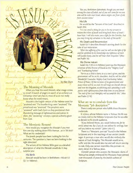*vptua,..a.dop. qii-u* 

*guatice.* The hart there are by Alan Shore

#### The Meaning of Messiah

When you hear the word Messiah, what image comes to mind? A bunch of singers in search of an orchestra at Christmas time? Let's face it, most of us do not really know what the word means.

*Messiah* is the English version of the Hebrew word for "anointed one." The Israelite kings were "anointed." The priesthood was "anointed" The prophets were "anointed" with God's Spirit as they proclaimed their thundering message of righteousness and justice. In short, this "anointing" conveys a special authority given from God.

#### The Messianic Resume

How would you recognize the Messiah if you met him one day walking down Fifth Avenue...or in Tel Aviv? What are his credentials?

The Jewish people have been looking for him for centuries. The question is, have we been looking in the right direction? What are his credentials?<br>The Jewish people have been looking for him for<br>centuries. The question is, have we been looking in the<br>right direction?<br>The writers of the Hebrew Bible gave us a detailed<br>description of what the

description of what the Messiah would do. It may<br>*surprise you:* 

#### **His Birth**

**,** Messiah would be born in Bethlehem—Micah 5:2 (5:1 in Hebrew):

*"But you, Bethlehem Ephrathah, though you are small among the clans of Judah, out of you will come for me one who will be ruler over Israel, whose origins are from of old, from ancient times."* 

#### **His Life**

He would be the "Servant of the Lord" described in Isaiah 49:6:

*"It is too small a thing for you to be my servant to restore the tribes of Jacob and bring back those of Israel I* have kept. I will also make you a light for the Gentiles, that *you may bring my salvation to the ends of the earth."* 

#### **His Death and Resurrection**

Isaiah **53:11** describes Messiah's atoning death for the sake of our restoration.

*'After the suffering of his soul, he will see the light of life and be satisfied; by his knowledge my righteous servant will justify many, and he will bear their iniquities."* (Also see **Psalm 16)** 

#### **His Divine nature**

Isaiah **9:6-7 (9:5-6** in Hebrew) portrays the Messianic inheritor of the throne of David as the "Mighty God" and "Everlasting Father."

"For *to us a child is born, to us a son is given, and the government will be on his shoulders. And he will be called Wonderful Counselor, Mighty God, Everlasting Father, Prince of Peace. Of the increase of his government and peace there will be no end. He will reign on David's throne and over his kingdom, establishing and upholding it with justice and righteousness from that time on and forever. The zeal of the Lord Almighty will accomplish this."* (Also see Psalm 2:7-8)

#### What are we to conclude from this Messianic "job description?"

There is only one person who fulfills these Messianic credentials.

It is Jesus, whose Hebrew name is Yeshua. His life was so closely tied to the Hebrew Scriptures that he was able to declare to his Jewish audience,

*"If you believed Moses, you would believe me, for he wrote about me. But if you do not believe his writings, how will you believe my words?"* (John 5:46-47).

There is a "Messianic portrait" found in the Hebrew Scriptures and in the teachings of our ancient Jewish sages. It portrays a man who would also embody the nature of God Almighty. This Messiah would serve, suffer and die. He would also rise and will return one day to rule. Only one person resembles this portrait—in every detail. It is Yeshua, Jesus.

A Jewish person who accepts the Messianic claims of Yeshua has simply embraced the Messianic hope penned over thousands of years by the Jewish authors of Scripture.

*du.* 

etcuicp-o

estial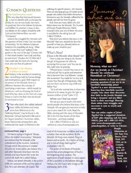#### COMMON QUESTIONS

#### Can God become a man!

**T**he very idea that God would become a man to identify with us and pay the penalty for our sin was God's, not man's. He predicted this in the Hebrew Scriptures and fulfilled His promise in Jesus. In fact, any debate on the subject should be with God and the Hebrew Bible, not with "Christianity!'

Judaism has struggled for centuries with the question of how a holy God can relate to humanity. Yet the Hebrew Scriptures hinted at this possibility all along. What does it mean that God "walked in the garden in the cool of the day" (Genesis 3:8) or that Israel's leaders "saw God, and they ate and drank" (Exodus 24:11)? After all, if God could take the form of a burning bush, why not that of a person?

#### Wouldn't **it be idolatry to believe in Jesus?**

**2** false—something made by human beings Idolatry is the worship of something and worshiped as a god. With respect to the person of the Messiah, there is a difference between the concept of worshiping a mere man—which would be idolatrous—and worshipping the God of Israel Who has taken on the form of a man. If Jesus is God in the flesh then he should be worshiped as God.

**3 Then why don't the rabbis** believe? Many rabbis did believe and many came close. References to the "Suffering Messiah" may be found in the Babylonian Talmud (Sanhedrin 98b and in the Targum Jonathan). Numerous rabbis, Moses Maimonides among them, also understood that Isaiah 53 referred to the

#### **continued from page 5**

We have a saying in England: "Always follow the maker's instructions." Messianic Jews believe that the Messiah is the embodiment of the *hochma* (wisdom) through which the universe is created (Proverbs 8). Some rabbis also believe this. I and other Messianic Jews have met this Messiah and have found Him to be the Lord of Life itself. He is called Yeshua.

Yeshua, our Jewish Messiah, is the author of life, the sustainer of life and the saver of lives. He is our ultimate Life Coach. The

suffering of a specific person—the Messiah. There are also large groups of Hasidic Jewish people who believe that Rabbi Menachem Schneerson was the Messiah, suffered for his people, and will rise from his grave.

And, there are many rabbis who did believe Jesus was the Messiah. The founder of Chosen People Ministries, Rabbi Leopold Cohn, was one of them. His story is available for the asking! Just call 1-888-2-YESHUA.

Why don't you believe that Jesus is the Messiah? Have you studied the facts for yourself or have you allowed others to make up your mind for you?

#### What's Next?

*If Jesus is the Messiah, what should I do?* 

There is only one thing to do. Receive the gift of forgiveness He offers by accepting Him as your Lord. You can do this, right now, by praying:

"Messiah Jesus, I receive You now as my Lord and ask You to guide and empower me to become Your true follower. I accept the atonement You made for my sins, and accept Your free gift of forgiveness. Help me turn from my former way of life and follow You:'

*"Yet to all who received him, to those who believed in his name, he gave the right to become children of God"* (John 1:12).

#### **Where can I find out more?**

We can put you in touch with other Jewish people who believe that Jesus is the Messiah. We can give you resources to help you in your search for truth. Read the Bible, starting with the story of Messiah's life in the first four books of the New Testament...and keep reading!

Call 1-888-2-YESHUA or visit our website at: www.chosenpeople.com.

Lord of Life knows our condition and loves us better than we do ourselves. By the Messiah *"all things were created: things in heaven and on earth... He is before all things, and in him all things hold together"*  (Colossians 1:16-17).

The writer of the Book of Proverbs asserts that acknowledgement of God is the beginning of all wisdom. The application of such wisdom in every aspect of life is available to the believer through Yeshua, the life Coach who brings us life everlasting (John 3:16).

Mammy,



#### **Mommy, what are** we? **Are we Jewish or Christian? Should we celebrate Hanukkah or Christmas?**

Explore answers to these and other pressing questions if you are in an interfaith relationship:Joined *Together?* is a new documentary featuring four interfaith married couples who share their discovery that faith in the Jewish Messiah can bring a dynamic and joy-filled basis to their marriage. Hearing them relate their struggles and successes is sure to touch and move you.

You can order copies *of Joined Together?* for a suggested donation of \$20" plus shipping (ask for item #8025). Just call 1-800-333-4936, visit www.chosenpeople.com/ joinedtogether, or write to Chosen



People Ministries at 241 East 51st Street, New York, NY 1022, or in Canada write to Box 897 Station B, North York, ON M2K 2R1